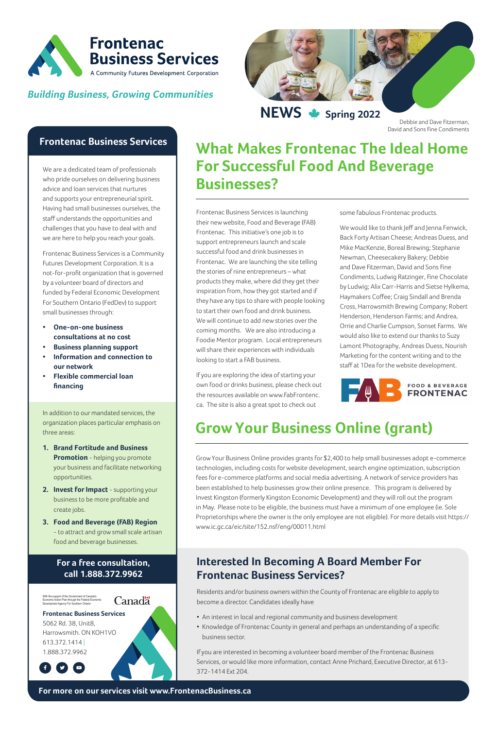**News Spring 2022**



#### **Building Business, Growing Communities**



### **Frontenac Business Services**

We are a dedicated team of professionals who pride ourselves on delivering business advice and loan services that nurtures and supports your entrepreneurial spirit. Having had small businesses ourselves, the staff understands the opportunities and challenges that you have to deal with and we are here to help you reach your goals.

Frontenac Business Services is a Community Futures Development Corporation. It is a not-for-profit organization that is governed by a volunteer board of directors and funded by Federal Economic Development For Southern Ontario (FedDev) to support small businesses through:

- **• One-on-one business consultations at no cost**
- **Business planning support**
- **• Information and connection to our network**
- **• Flexible commercial loan financing**

In addition to our mandated services, the organization places particular emphasis on three areas:

- **1. Brand Fortitude and Business Promotion** - helping you promote your business and facilitate networking opportunities.
- **2. Invest for Impact** supporting your business to be more profitable and create jobs.
- **3. Food and Beverage (FAB) Region** - to attract and grow small scale artisan food and beverage businesses.

#### **For a free consultation, call 1.888.372.9962**



#### **Frontenac Business Services**

5062 Rd. 38, Unit8, Harrowsmith. ON KOH1VO 613.372.1414 | 1.888.372.9962

 $\bullet$   $\bullet$ 

Frontenac Business Services is launching their new website, Food and Beverage (FAB) Frontenac. This initiative's one job is to support entrepreneurs launch and scale successful food and drink businesses in Frontenac. We are launching the site telling the stories of nine entrepreneurs – what products they make, where did they get their inspiration from, how they got started and if they have any tips to share with people looking to start their own food and drink business. We will continue to add new stories over the coming months. We are also introducing a Foodie Mentor program. Local entrepreneurs will share their experiences with individuals looking to start a FAB business.

If you are exploring the idea of starting your own food or drinks business, please check out the resources available on www.FabFrontenc. ca. The site is also a great spot to check out

some fabulous Frontenac products.

We would like to thank Jeff and Jenna Fenwick, Back Forty Artisan Cheese; Andreas Duess, and Mike MacKenzie, Boreal Brewing; Stephanie Newman, Cheesecakery Bakery; Debbie and Dave Fitzerman, David and Sons Fine Condiments, Ludwig Ratzinger, Fine Chocolate by Ludwig; Alix Carr-Harris and Sietse Hylkema, Haymakers Coffee; Craig Sindall and Brenda Cross, Harrowsmith Brewing Company; Robert Henderson, Henderson Farms; and Andrea, Orrie and Charlie Cumpson, Sonset Farms. We would also like to extend our thanks to Suzy Lamont Photography, Andreas Duess, Nourish Marketing for the content writing and to the staff at 1Dea for the website development.



# **What Makes Frontenac The Ideal Home For Successful Food And Beverage Businesses?**

**For more on our services visit www.FrontenacBusiness.ca**

Canadä

Grow Your Business Online provides grants for \$2,400 to help small businesses adopt e-commerce technologies, including costs for website development, search engine optimization, subscription fees for e-commerce platforms and social media advertising. A network of service providers has been established to help businesses grow their online presence. This program is delivered by Invest Kingston (formerly Kingston Economic Development) and they will roll out the program in May. Please note to be eligible, the business must have a minimum of one employee (ie. Sole Proprietorships where the owner is the only employee are not eligible). For more details visit https:// www.ic.gc.ca/eic/site/152.nsf/eng/00011.html

# **Grow Your Business Online (grant)**

### **Interested In Becoming A Board Member For Frontenac Business Services?**

Residents and/or business owners within the County of Frontenac are eligible to apply to become a director. Candidates ideally have

- An interest in local and regional community and business development
- Knowledge of Frontenac County in general and perhaps an understanding of a specific business sector.

If you are interested in becoming a volunteer board member of the Frontenac Business Services, or would like more information, contact Anne Prichard, Executive Director, at 613- 372-1414 Ext 204.

Debbie and Dave Fitzerman, David and Sons Fine Condiments